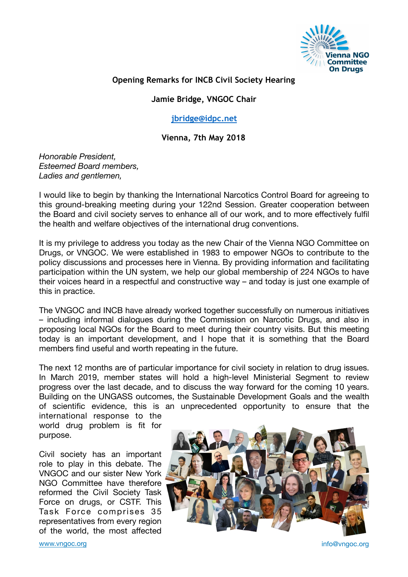

## **Opening Remarks for INCB Civil Society Hearing**

## **Jamie Bridge, VNGOC Chair**

## **[jbridge@idpc.net](mailto:jbridge@idpc.net)**

**Vienna, 7th May 2018** 

*Honorable President, Esteemed Board members, Ladies and gentlemen,* 

I would like to begin by thanking the International Narcotics Control Board for agreeing to this ground-breaking meeting during your 122nd Session. Greater cooperation between the Board and civil society serves to enhance all of our work, and to more effectively fulfil the health and welfare objectives of the international drug conventions.

It is my privilege to address you today as the new Chair of the Vienna NGO Committee on Drugs, or VNGOC. We were established in 1983 to empower NGOs to contribute to the policy discussions and processes here in Vienna. By providing information and facilitating participation within the UN system, we help our global membership of 224 NGOs to have their voices heard in a respectful and constructive way – and today is just one example of this in practice.

The VNGOC and INCB have already worked together successfully on numerous initiatives – including informal dialogues during the Commission on Narcotic Drugs, and also in proposing local NGOs for the Board to meet during their country visits. But this meeting today is an important development, and I hope that it is something that the Board members find useful and worth repeating in the future.

The next 12 months are of particular importance for civil society in relation to drug issues. In March 2019, member states will hold a high-level Ministerial Segment to review progress over the last decade, and to discuss the way forward for the coming 10 years. Building on the UNGASS outcomes, the Sustainable Development Goals and the wealth of scientific evidence, this is an unprecedented opportunity to ensure that the

international response to the world drug problem is fit for purpose.

Civil society has an important role to play in this debate. The VNGOC and our sister New York NGO Committee have therefore reformed the Civil Society Task Force on drugs, or CSTF. This Task Force comprises 35 representatives from every region of the world, the most affected



[www.vngoc.org](http://www.vngoc.org) info@vngoc.org info@vngoc.org info@vngoc.org info@vngoc.org info@vngoc.org